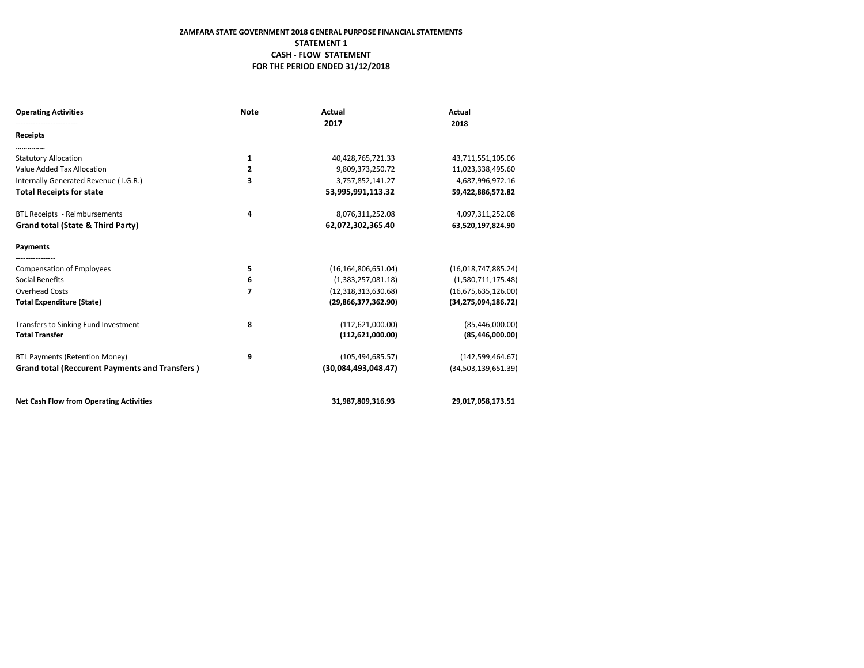# **ZAMFARA STATE GOVERNMENT 2018 GENERAL PURPOSE FINANCIAL STATEMENTS STATEMENT 1 CASH - FLOW STATEMENT FOR THE PERIOD ENDED 31/12/2018**

| <b>Operating Activities</b>                           | <b>Note</b>    | Actual<br>2017         | Actual<br>2018         |
|-------------------------------------------------------|----------------|------------------------|------------------------|
| Receipts                                              |                |                        |                        |
|                                                       |                |                        |                        |
| <b>Statutory Allocation</b>                           | $\mathbf{1}$   | 40,428,765,721.33      | 43,711,551,105.06      |
| Value Added Tax Allocation                            | $\overline{2}$ | 9,809,373,250.72       | 11,023,338,495.60      |
| Internally Generated Revenue (I.G.R.)                 | 3              | 3,757,852,141.27       | 4,687,996,972.16       |
| <b>Total Receipts for state</b>                       |                | 53,995,991,113.32      | 59,422,886,572.82      |
| <b>BTL Receipts - Reimbursements</b>                  | 4              | 8,076,311,252.08       | 4,097,311,252.08       |
| Grand total (State & Third Party)                     |                | 62,072,302,365.40      | 63,520,197,824.90      |
| Payments                                              |                |                        |                        |
| <b>Compensation of Employees</b>                      | 5              | (16, 164, 806, 651.04) | (16,018,747,885.24)    |
| Social Benefits                                       | 6              | (1,383,257,081.18)     | (1,580,711,175.48)     |
| Overhead Costs                                        | 7              | (12,318,313,630.68)    | (16,675,635,126.00)    |
| <b>Total Expenditure (State)</b>                      |                | (29,866,377,362.90)    | (34, 275, 094, 186.72) |
| Transfers to Sinking Fund Investment                  | 8              | (112, 621, 000.00)     | (85, 446, 000.00)      |
| <b>Total Transfer</b>                                 |                | (112,621,000.00)       | (85,446,000.00)        |
| <b>BTL Payments (Retention Money)</b>                 | 9              | (105, 494, 685.57)     | (142, 599, 464.67)     |
| <b>Grand total (Reccurent Payments and Transfers)</b> |                | (30,084,493,048.47)    | (34,503,139,651.39)    |
| <b>Net Cash Flow from Operating Activities</b>        |                | 31,987,809,316.93      | 29,017,058,173.51      |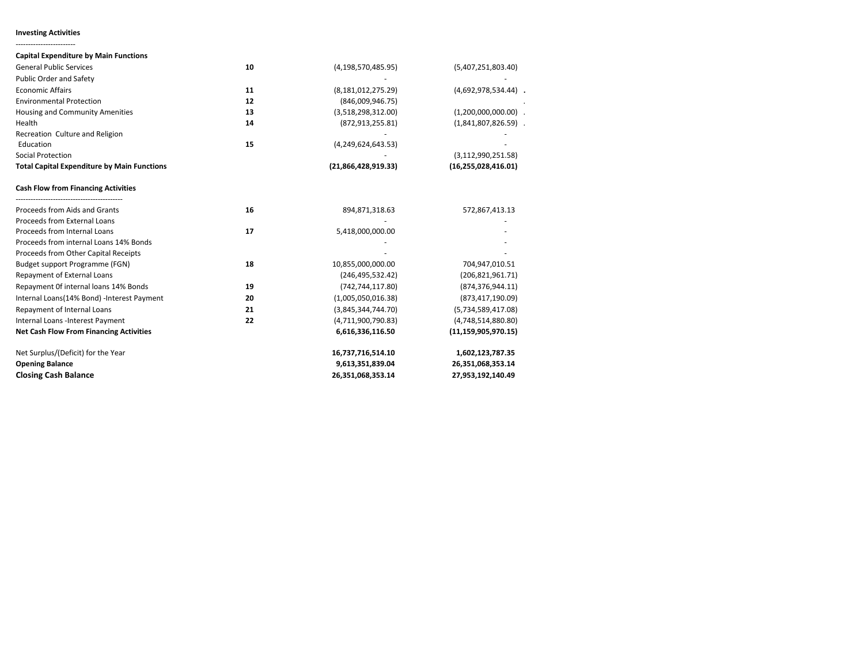#### **Investing Activities** ------------------------

| <b>Capital Expenditure by Main Functions</b>       |    |                       |                        |
|----------------------------------------------------|----|-----------------------|------------------------|
| <b>General Public Services</b>                     | 10 | (4, 198, 570, 485.95) | (5,407,251,803.40)     |
| Public Order and Safety                            |    |                       |                        |
| <b>Economic Affairs</b>                            | 11 | (8, 181, 012, 275.29) | $(4,692,978,534.44)$ . |
| <b>Environmental Protection</b>                    | 12 | (846,009,946.75)      |                        |
| Housing and Community Amenities                    | 13 | (3,518,298,312.00)    | $(1,200,000,000.00)$ . |
| Health                                             | 14 | (872, 913, 255.81)    | $(1,841,807,826.59)$ . |
| Recreation Culture and Religion                    |    |                       |                        |
| Education                                          | 15 | (4,249,624,643.53)    |                        |
| Social Protection                                  |    |                       | (3, 112, 990, 251.58)  |
| <b>Total Capital Expenditure by Main Functions</b> |    | (21,866,428,919.33)   | (16, 255, 028, 416.01) |
| <b>Cash Flow from Financing Activities</b>         |    |                       |                        |
| Proceeds from Aids and Grants                      | 16 | 894,871,318.63        | 572,867,413.13         |
| Proceeds from External Loans                       |    |                       |                        |
| Proceeds from Internal Loans                       | 17 | 5,418,000,000.00      |                        |
| Proceeds from internal Loans 14% Bonds             |    |                       |                        |
| Proceeds from Other Capital Receipts               |    |                       |                        |
| Budget support Programme (FGN)                     | 18 | 10,855,000,000.00     | 704,947,010.51         |
| Repayment of External Loans                        |    | (246, 495, 532.42)    | (206, 821, 961.71)     |
| Repayment Of internal loans 14% Bonds              | 19 | (742, 744, 117.80)    | (874, 376, 944.11)     |
| Internal Loans(14% Bond) -Interest Payment         | 20 | (1,005,050,016.38)    | (873, 417, 190.09)     |
| Repayment of Internal Loans                        | 21 | (3,845,344,744.70)    | (5,734,589,417.08)     |
| Internal Loans -Interest Payment                   | 22 | (4,711,900,790.83)    | (4,748,514,880.80)     |
| <b>Net Cash Flow From Financing Activities</b>     |    | 6,616,336,116.50      | (11, 159, 905, 970.15) |
| Net Surplus/(Deficit) for the Year                 |    | 16,737,716,514.10     | 1,602,123,787.35       |
| <b>Opening Balance</b>                             |    | 9,613,351,839.04      | 26,351,068,353.14      |
| <b>Closing Cash Balance</b>                        |    | 26,351,068,353.14     | 27,953,192,140.49      |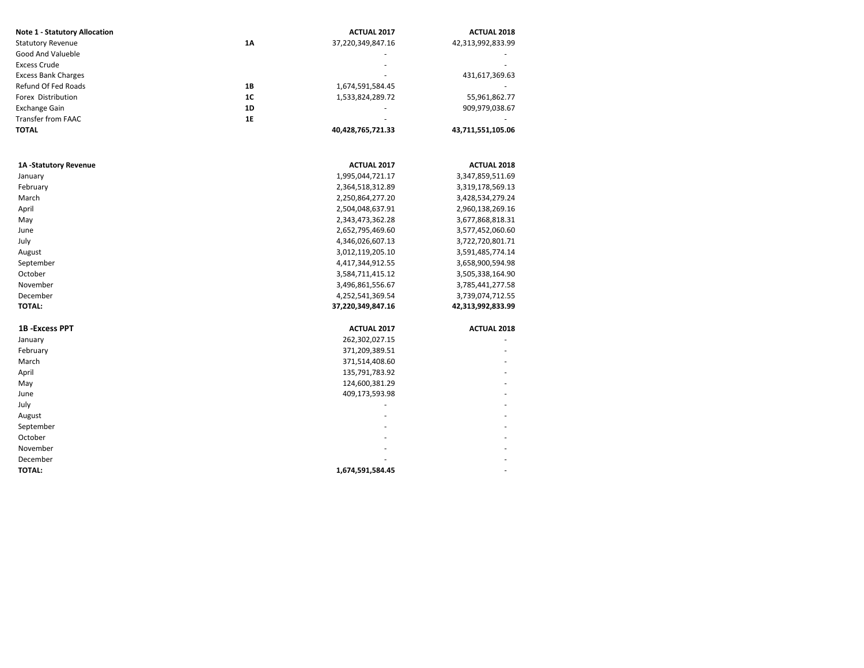| <b>Note 1 - Statutory Allocation</b> |    | <b>ACTUAL 2017</b> | <b>ACTUAL 2018</b> |  |
|--------------------------------------|----|--------------------|--------------------|--|
| <b>Statutory Revenue</b>             | 1A | 37,220,349,847.16  | 42,313,992,833.99  |  |
| Good And Valueble                    |    |                    |                    |  |
| <b>Excess Crude</b>                  |    |                    |                    |  |
| <b>Excess Bank Charges</b>           |    |                    | 431,617,369.63     |  |
| Refund Of Fed Roads                  | 1B | 1,674,591,584.45   |                    |  |
| Forex Distribution                   | 1C | 1,533,824,289.72   | 55,961,862.77      |  |
| <b>Exchange Gain</b>                 | 1D |                    | 909,979,038.67     |  |
| <b>Transfer from FAAC</b>            | 1E |                    |                    |  |
| TOTAL                                |    | 40,428,765,721.33  | 43,711,551,105.06  |  |
| 1A-Statutory Revenue                 |    | ACTUAL 2017        | <b>ACTUAL 2018</b> |  |
| January                              |    | 1,995,044,721.17   | 3,347,859,511.69   |  |
| February                             |    | 2,364,518,312.89   | 3,319,178,569.13   |  |
| March                                |    | 2,250,864,277.20   | 3,428,534,279.24   |  |
| April                                |    | 2,504,048,637.91   | 2,960,138,269.16   |  |
| May                                  |    | 2,343,473,362.28   | 3,677,868,818.31   |  |
| June                                 |    | 2,652,795,469.60   | 3,577,452,060.60   |  |
| July                                 |    | 4,346,026,607.13   | 3,722,720,801.71   |  |
| August                               |    | 3,012,119,205.10   | 3,591,485,774.14   |  |
| September                            |    | 4,417,344,912.55   | 3,658,900,594.98   |  |
| October                              |    | 3,584,711,415.12   | 3,505,338,164.90   |  |
| November                             |    | 3,496,861,556.67   | 3,785,441,277.58   |  |
| December                             |    | 4,252,541,369.54   | 3,739,074,712.55   |  |
| <b>TOTAL:</b>                        |    | 37,220,349,847.16  | 42,313,992,833.99  |  |
| <b>1B-Excess PPT</b>                 |    | <b>ACTUAL 2017</b> | <b>ACTUAL 2018</b> |  |
| January                              |    | 262,302,027.15     |                    |  |
| February                             |    | 371,209,389.51     |                    |  |
| March                                |    | 371,514,408.60     |                    |  |
| April                                |    | 135,791,783.92     |                    |  |
| May                                  |    | 124,600,381.29     |                    |  |
| June                                 |    | 409,173,593.98     |                    |  |
| July                                 |    |                    |                    |  |
| August                               |    |                    |                    |  |
| September                            |    |                    |                    |  |
| October                              |    |                    |                    |  |
| November                             |    |                    |                    |  |
| December                             |    |                    |                    |  |
| TOTAL:                               |    | 1,674,591,584.45   |                    |  |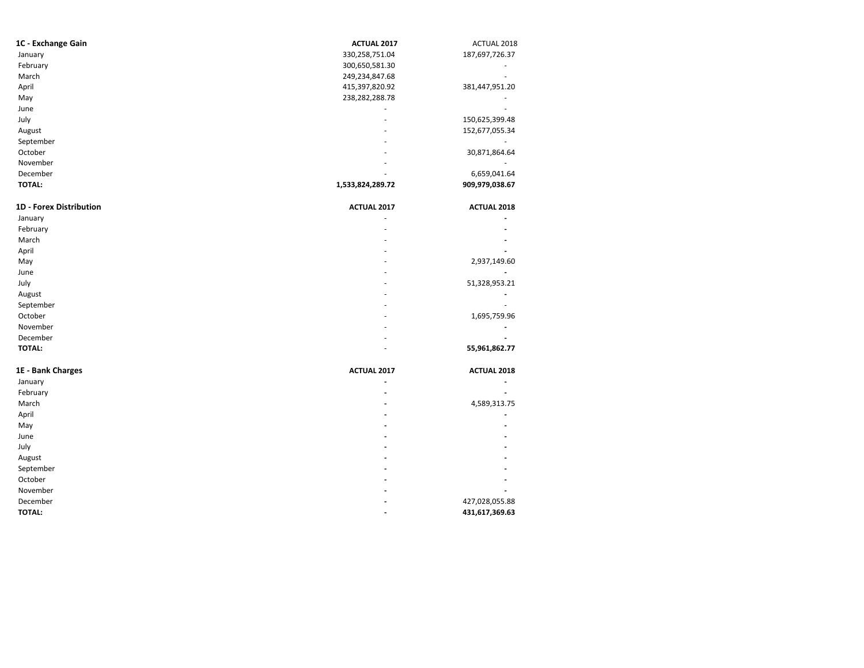| 1C - Exchange Gain             | <b>ACTUAL 2017</b> | ACTUAL 2018        |
|--------------------------------|--------------------|--------------------|
| January                        | 330,258,751.04     | 187,697,726.37     |
| February                       | 300,650,581.30     |                    |
| March                          | 249,234,847.68     |                    |
| April                          | 415,397,820.92     | 381,447,951.20     |
| May                            | 238,282,288.78     |                    |
| June                           |                    |                    |
| July                           |                    | 150,625,399.48     |
| August                         |                    | 152,677,055.34     |
| September                      |                    |                    |
| October                        |                    | 30,871,864.64      |
| November                       |                    |                    |
| December                       |                    | 6,659,041.64       |
| <b>TOTAL:</b>                  | 1,533,824,289.72   | 909,979,038.67     |
| <b>1D - Forex Distribution</b> | <b>ACTUAL 2017</b> | <b>ACTUAL 2018</b> |
| January                        |                    |                    |
| February                       |                    |                    |
| March                          |                    |                    |
| April                          |                    |                    |
| May                            |                    | 2,937,149.60       |
| June                           |                    |                    |
| July                           |                    | 51,328,953.21      |
| August                         |                    |                    |

| nugust            |                          |                          |
|-------------------|--------------------------|--------------------------|
| September         | ۰                        | ۰                        |
| October           | $\sim$                   | 1,695,759.96             |
| November          | $\sim$                   | $\overline{\phantom{a}}$ |
| December          | ۰                        | $\overline{\phantom{a}}$ |
| <b>TOTAL:</b>     | ٠                        | 55,961,862.77            |
| 1E - Bank Charges | ACTUAL 2017              | <b>ACTUAL 2018</b>       |
| January           |                          | $\overline{\phantom{a}}$ |
| February          | $\overline{\phantom{a}}$ | -                        |
| March             | $\overline{\phantom{a}}$ | 4.589.313.75             |

| March         | -                        | 4,589,313.75   |
|---------------|--------------------------|----------------|
| April         |                          |                |
| May           | $\overline{\phantom{0}}$ | -              |
| June          | -                        |                |
| July          | -                        |                |
| August        | -                        |                |
| September     | -                        |                |
| October       | -                        |                |
| November      | -                        | -              |
| December      | -                        | 427,028,055.88 |
| <b>TOTAL:</b> |                          | 431,617,369.63 |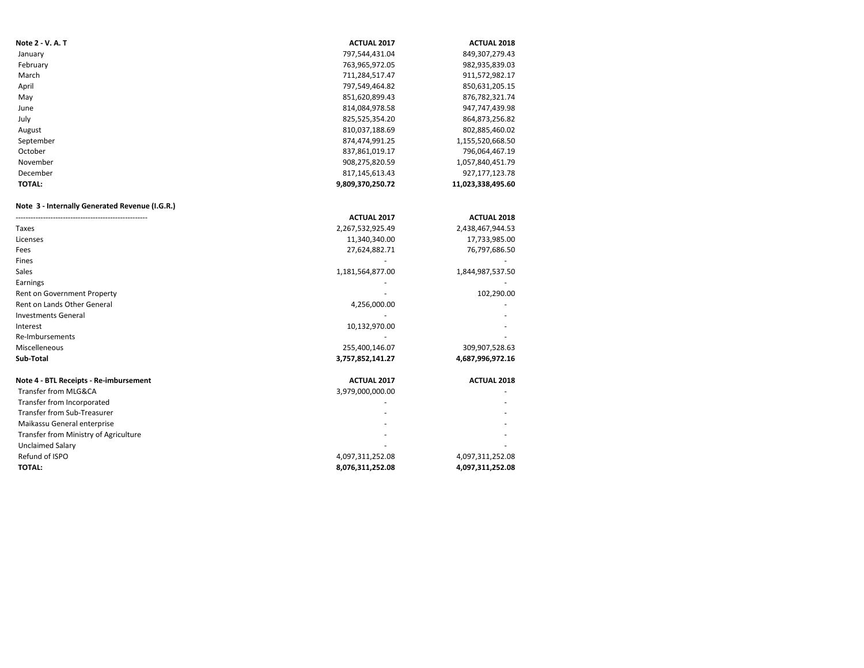| Note 2 - V. A. T                               | <b>ACTUAL 2017</b> | <b>ACTUAL 2018</b> |
|------------------------------------------------|--------------------|--------------------|
| January                                        | 797,544,431.04     | 849,307,279.43     |
| February                                       | 763,965,972.05     | 982,935,839.03     |
| March                                          | 711,284,517.47     | 911,572,982.17     |
| April                                          | 797,549,464.82     | 850,631,205.15     |
| May                                            | 851,620,899.43     | 876,782,321.74     |
| June                                           | 814,084,978.58     | 947,747,439.98     |
| July                                           | 825,525,354.20     | 864,873,256.82     |
| August                                         | 810,037,188.69     | 802,885,460.02     |
| September                                      | 874,474,991.25     | 1,155,520,668.50   |
| October                                        | 837,861,019.17     | 796,064,467.19     |
| November                                       | 908,275,820.59     | 1,057,840,451.79   |
| December                                       | 817,145,613.43     | 927,177,123.78     |
| <b>TOTAL:</b>                                  | 9,809,370,250.72   | 11,023,338,495.60  |
| Note 3 - Internally Generated Revenue (I.G.R.) |                    |                    |
|                                                | <b>ACTUAL 2017</b> | <b>ACTUAL 2018</b> |
| Taxes                                          | 2,267,532,925.49   | 2,438,467,944.53   |
| Licenses                                       | 11,340,340.00      | 17,733,985.00      |
| Fees                                           | 27,624,882.71      | 76,797,686.50      |
| Fines                                          |                    |                    |
| Sales                                          | 1,181,564,877.00   | 1,844,987,537.50   |
| Earnings                                       |                    |                    |
| Rent on Government Property                    |                    | 102,290.00         |
| Rent on Lands Other General                    | 4,256,000.00       |                    |
| <b>Investments General</b>                     |                    |                    |
| Interest                                       | 10,132,970.00      |                    |
| Re-Imbursements                                |                    |                    |
| Miscelleneous                                  | 255,400,146.07     | 309,907,528.63     |
| Sub-Total                                      | 3,757,852,141.27   | 4,687,996,972.16   |
| Note 4 - BTL Receipts - Re-imbursement         | ACTUAL 2017        | <b>ACTUAL 2018</b> |
| Transfer from MLG&CA                           | 3,979,000,000.00   |                    |
| Transfer from Incorporated                     |                    |                    |
| Transfer from Sub-Treasurer                    |                    |                    |
| Maikassu General enterprise                    |                    |                    |
| Transfer from Ministry of Agriculture          |                    |                    |
| <b>Unclaimed Salary</b>                        |                    |                    |
| Refund of ISPO                                 | 4,097,311,252.08   | 4,097,311,252.08   |
| <b>TOTAL:</b>                                  | 8,076,311,252.08   | 4,097,311,252.08   |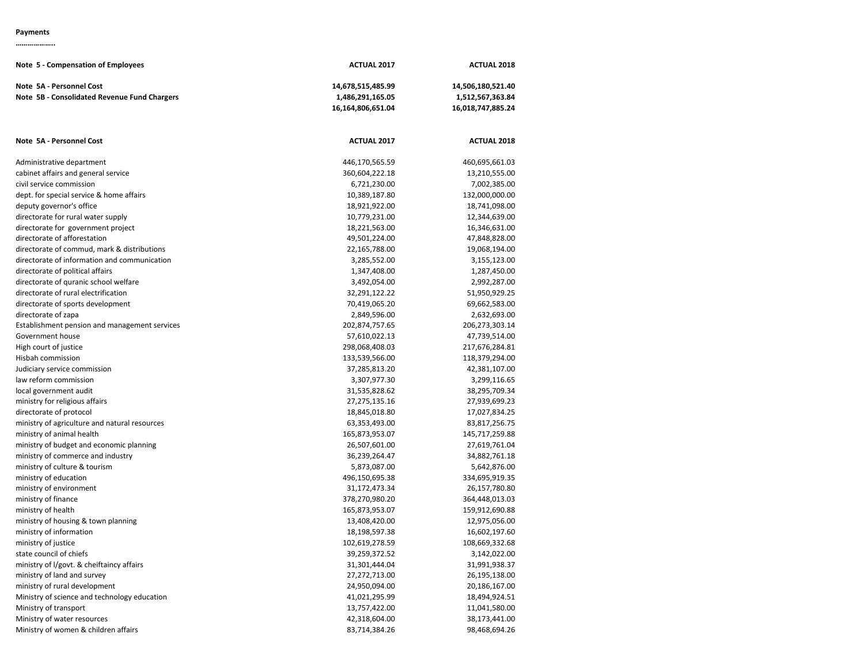## **Payments**

**………………..**

| Note 5 - Compensation of Employees                                       | <b>ACTUAL 2017</b>                                         | <b>ACTUAL 2018</b>                                         |
|--------------------------------------------------------------------------|------------------------------------------------------------|------------------------------------------------------------|
| Note 5A - Personnel Cost<br>Note 5B - Consolidated Revenue Fund Chargers | 14,678,515,485.99<br>1,486,291,165.05<br>16,164,806,651.04 | 14,506,180,521.40<br>1,512,567,363.84<br>16,018,747,885.24 |
| Note 5A - Personnel Cost                                                 | <b>ACTUAL 2017</b>                                         | <b>ACTUAL 2018</b>                                         |
| Administrative department                                                | 446,170,565.59                                             | 460,695,661.03                                             |
| cabinet affairs and general service                                      | 360,604,222.18                                             | 13,210,555.00                                              |
| civil service commission                                                 | 6,721,230.00                                               | 7,002,385.00                                               |
| dept. for special service & home affairs                                 | 10,389,187.80                                              | 132,000,000.00                                             |
| deputy governor's office                                                 | 18,921,922.00                                              | 18,741,098.00                                              |
| directorate for rural water supply                                       | 10,779,231.00                                              | 12,344,639.00                                              |
| directorate for government project                                       | 18,221,563.00                                              | 16,346,631.00                                              |
| directorate of afforestation                                             | 49,501,224.00                                              | 47,848,828.00                                              |
| directorate of commud, mark & distributions                              | 22,165,788.00                                              | 19,068,194.00                                              |
| directorate of information and communication                             | 3,285,552.00                                               | 3,155,123.00                                               |
| directorate of political affairs                                         | 1,347,408.00                                               | 1,287,450.00                                               |
| directorate of quranic school welfare                                    | 3,492,054.00                                               | 2,992,287.00                                               |
| directorate of rural electrification                                     | 32,291,122.22                                              | 51,950,929.25                                              |
| directorate of sports development                                        | 70,419,065.20                                              | 69,662,583.00                                              |
| directorate of zapa                                                      | 2,849,596.00                                               | 2,632,693.00                                               |
| Establishment pension and management services                            | 202,874,757.65                                             | 206,273,303.14                                             |
| Government house                                                         | 57,610,022.13                                              | 47,739,514.00                                              |
| High court of justice                                                    | 298,068,408.03                                             | 217,676,284.81                                             |
| Hisbah commission                                                        | 133,539,566.00                                             | 118,379,294.00                                             |
| Judiciary service commission                                             | 37,285,813.20                                              | 42,381,107.00                                              |
| law reform commission                                                    | 3,307,977.30                                               | 3,299,116.65                                               |
| local government audit                                                   | 31,535,828.62                                              | 38,295,709.34                                              |
| ministry for religious affairs                                           | 27,275,135.16                                              | 27,939,699.23                                              |
| directorate of protocol                                                  | 18,845,018.80                                              | 17,027,834.25                                              |
| ministry of agriculture and natural resources                            | 63,353,493.00                                              | 83,817,256.75                                              |
| ministry of animal health                                                | 165,873,953.07                                             | 145,717,259.88                                             |
| ministry of budget and economic planning                                 | 26,507,601.00                                              | 27,619,761.04                                              |
| ministry of commerce and industry                                        | 36,239,264.47                                              | 34,882,761.18                                              |
| ministry of culture & tourism                                            | 5,873,087.00                                               | 5,642,876.00                                               |
| ministry of education                                                    | 496,150,695.38                                             | 334,695,919.35                                             |
| ministry of environment                                                  | 31,172,473.34                                              | 26,157,780.80                                              |
| ministry of finance                                                      | 378,270,980.20                                             | 364,448,013.03                                             |
| ministry of health                                                       | 165,873,953.07                                             | 159,912,690.88                                             |
| ministry of housing & town planning                                      | 13,408,420.00                                              | 12,975,056.00                                              |
| ministry of information                                                  | 18,198,597.38                                              | 16,602,197.60                                              |
| ministry of justice                                                      | 102,619,278.59                                             | 108,669,332.68                                             |
| state council of chiefs                                                  | 39,259,372.52                                              | 3,142,022.00                                               |
| ministry of I/govt. & cheiftaincy affairs                                | 31,301,444.04                                              | 31,991,938.37                                              |
| ministry of land and survey                                              | 27,272,713.00                                              | 26,195,138.00                                              |
| ministry of rural development                                            | 24,950,094.00                                              | 20,186,167.00                                              |
| Ministry of science and technology education                             | 41,021,295.99                                              | 18,494,924.51                                              |
| Ministry of transport                                                    | 13,757,422.00                                              | 11,041,580.00                                              |
| Ministry of water resources                                              | 42,318,604.00                                              | 38,173,441.00                                              |
| Ministry of women & children affairs                                     | 83,714,384.26                                              | 98,468,694.26                                              |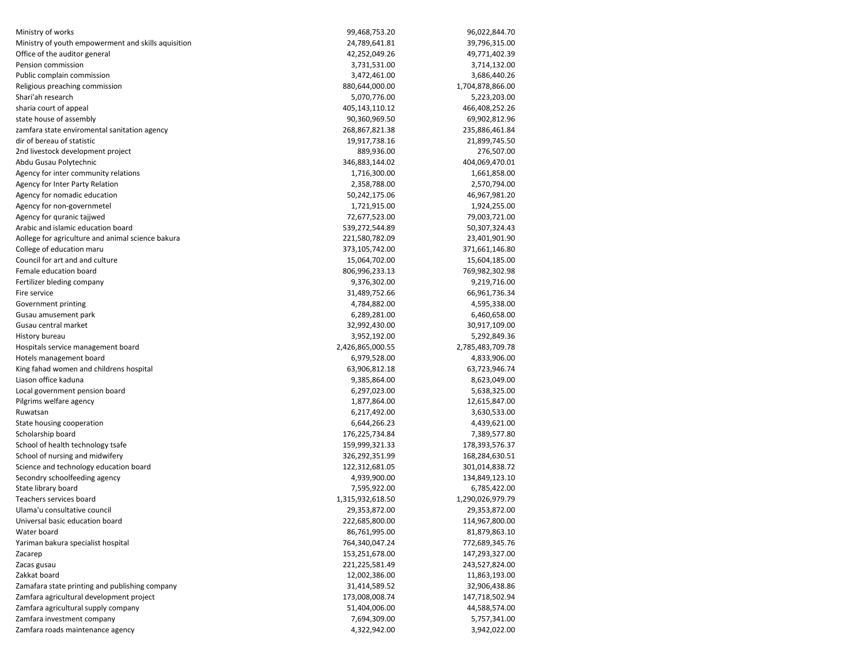| Ministry of works                                   | 99,468,753.20    | 96,022,844.70    |
|-----------------------------------------------------|------------------|------------------|
| Ministry of youth empowerment and skills aquisition | 24,789,641.81    | 39,796,315.00    |
| Office of the auditor general                       | 42,252,049.26    | 49,771,402.39    |
| Pension commission                                  | 3,731,531.00     | 3,714,132.00     |
| Public complain commission                          | 3,472,461.00     | 3,686,440.26     |
| Religious preaching commission                      | 880,644,000.00   | 1,704,878,866.00 |
| Shari'ah research                                   | 5,070,776.00     | 5,223,203.00     |
| sharia court of appeal                              | 405,143,110.12   | 466,408,252.26   |
| state house of assembly                             | 90,360,969.50    | 69,902,812.96    |
| zamfara state enviromental sanitation agency        | 268,867,821.38   | 235,886,461.84   |
| dir of bereau of statistic                          | 19,917,738.16    | 21,899,745.50    |
| 2nd livestock development project                   | 889,936.00       | 276,507.00       |
| Abdu Gusau Polytechnic                              | 346,883,144.02   | 404,069,470.01   |
| Agency for inter community relations                | 1,716,300.00     | 1,661,858.00     |
| Agency for Inter Party Relation                     | 2,358,788.00     | 2,570,794.00     |
| Agency for nomadic education                        | 50,242,175.06    | 46,967,981.20    |
| Agency for non-governmetel                          | 1,721,915.00     | 1,924,255.00     |
| Agency for quranic tajjwed                          | 72,677,523.00    | 79,003,721.00    |
| Arabic and islamic education board                  | 539,272,544.89   | 50,307,324.43    |
| Aollege for agriculture and animal science bakura   | 221,580,782.09   | 23,401,901.90    |
| College of education maru                           | 373,105,742.00   | 371,661,146.80   |
| Council for art and and culture                     | 15,064,702.00    | 15,604,185.00    |
| Female education board                              | 806,996,233.13   | 769,982,302.98   |
| Fertilizer bleding company                          | 9,376,302.00     | 9,219,716.00     |
| Fire service                                        | 31,489,752.66    | 66,961,736.34    |
| Government printing                                 | 4,784,882.00     | 4,595,338.00     |
| Gusau amusement park                                | 6,289,281.00     | 6,460,658.00     |
| Gusau central market                                | 32,992,430.00    | 30,917,109.00    |
| History bureau                                      | 3,952,192.00     | 5,292,849.36     |
| Hospitals service management board                  | 2,426,865,000.55 | 2,785,483,709.78 |
| Hotels management board                             | 6,979,528.00     | 4,833,906.00     |
| King fahad women and childrens hospital             | 63,906,812.18    | 63,723,946.74    |
| Liason office kaduna                                | 9,385,864.00     | 8,623,049.00     |
| Local government pension board                      | 6,297,023.00     | 5,638,325.00     |
| Pilgrims welfare agency                             | 1,877,864.00     | 12,615,847.00    |
| Ruwatsan                                            | 6,217,492.00     | 3,630,533.00     |
| State housing cooperation                           | 6,644,266.23     | 4,439,621.00     |
| Scholarship board                                   | 176,225,734.84   | 7,389,577.80     |
| School of health technology tsafe                   | 159,999,321.33   | 178,393,576.37   |
| School of nursing and midwifery                     | 326,292,351.99   | 168,284,630.51   |
| Science and technology education board              | 122,312,681.05   | 301,014,838.72   |
| Secondry schoolfeeding agency                       | 4,939,900.00     | 134,849,123.10   |
| State library board                                 | 7,595,922.00     | 6,785,422.00     |
| Teachers services board                             | 1,315,932,618.50 | 1,290,026,979.79 |
| Ulama'u consultative council                        | 29,353,872.00    | 29,353,872.00    |
| Universal basic education board                     | 222,685,800.00   | 114,967,800.00   |
| Water board                                         | 86,761,995.00    | 81,879,863.10    |
| Yariman bakura specialist hospital                  | 764,340,047.24   | 772,689,345.76   |
| Zacarep                                             | 153,251,678.00   | 147,293,327.00   |
| Zacas gusau                                         | 221,225,581.49   | 243,527,824.00   |
| Zakkat board                                        | 12,002,386.00    | 11,863,193.00    |
| Zamafara state printing and publishing company      | 31,414,589.52    | 32,906,438.86    |
| Zamfara agricultural development project            | 173,008,008.74   | 147,718,502.94   |
| Zamfara agricultural supply company                 | 51,404,006.00    | 44,588,574.00    |
| Zamfara investment company                          | 7,694,309.00     | 5,757,341.00     |
| Zamfara roads maintenance agency                    | 4,322,942.00     | 3,942,022.00     |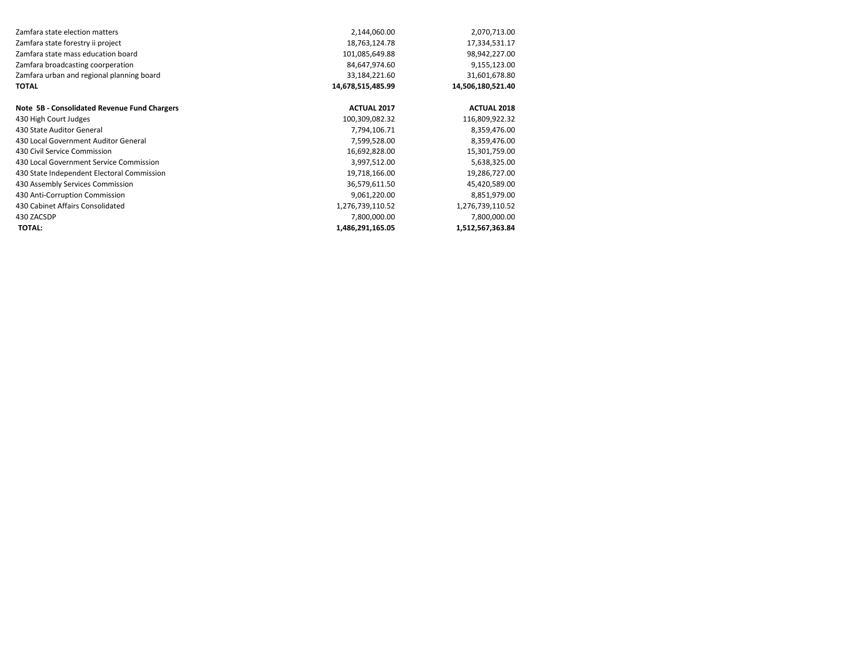| Zamfara state election matters               | 2,144,060.00       | 2,070,713.00       |
|----------------------------------------------|--------------------|--------------------|
| Zamfara state forestry ii project            | 18,763,124.78      | 17,334,531.17      |
| Zamfara state mass education board           | 101,085,649.88     | 98,942,227.00      |
| Zamfara broadcasting coorperation            | 84,647,974.60      | 9,155,123.00       |
| Zamfara urban and regional planning board    | 33,184,221.60      | 31,601,678.80      |
| <b>TOTAL</b>                                 | 14,678,515,485.99  | 14,506,180,521.40  |
| Note 5B - Consolidated Revenue Fund Chargers | <b>ACTUAL 2017</b> | <b>ACTUAL 2018</b> |
| 430 High Court Judges                        | 100,309,082.32     | 116,809,922.32     |
| 430 State Auditor General                    | 7,794,106.71       | 8,359,476.00       |
| 430 Local Government Auditor General         | 7,599,528.00       | 8,359,476.00       |
| 430 Civil Service Commission                 | 16,692,828.00      | 15,301,759.00      |
| 430 Local Government Service Commission      | 3,997,512.00       | 5,638,325.00       |
| 430 State Independent Electoral Commission   | 19,718,166.00      | 19,286,727.00      |
| 430 Assembly Services Commission             | 36,579,611.50      | 45,420,589.00      |
| 430 Anti-Corruption Commission               | 9,061,220.00       | 8,851,979.00       |
| 430 Cabinet Affairs Consolidated             | 1,276,739,110.52   | 1,276,739,110.52   |
| 430 ZACSDP                                   | 7,800,000.00       | 7,800,000.00       |
| <b>TOTAL:</b>                                | 1,486,291,165.05   | 1,512,567,363.84   |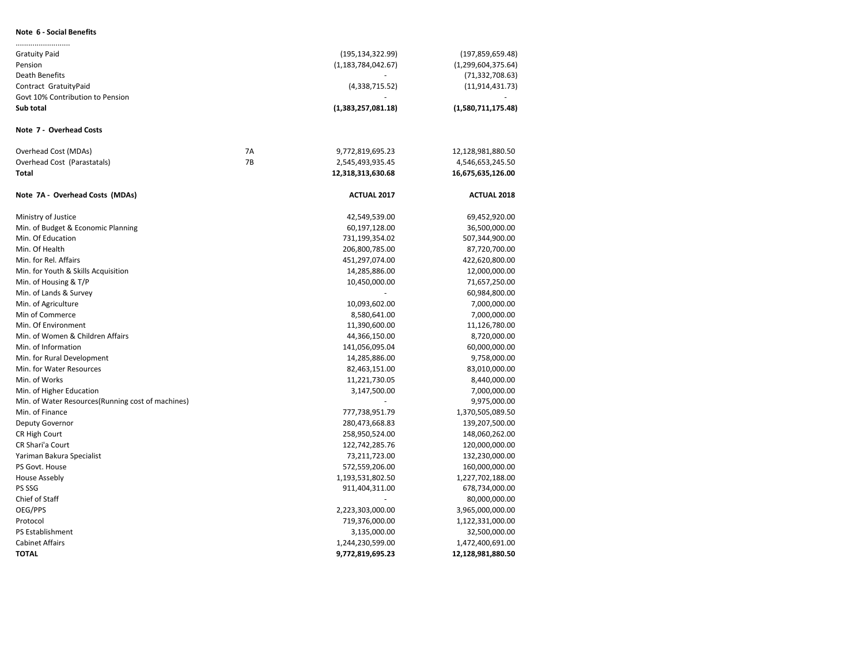### **Note 6 - Social Benefits**

| <b>Gratuity Paid</b>                              |    | (195, 134, 322.99)    | (197, 859, 659.48)    |
|---------------------------------------------------|----|-----------------------|-----------------------|
| Pension                                           |    | (1, 183, 784, 042.67) | (1, 299, 604, 375.64) |
| Death Benefits                                    |    |                       | (71, 332, 708.63)     |
| Contract GratuityPaid                             |    | (4,338,715.52)        | (11, 914, 431.73)     |
| Govt 10% Contribution to Pension                  |    |                       |                       |
| Sub total                                         |    | (1,383,257,081.18)    | (1,580,711,175.48)    |
| Note 7 - Overhead Costs                           |    |                       |                       |
| Overhead Cost (MDAs)                              | 7A | 9,772,819,695.23      | 12,128,981,880.50     |
| Overhead Cost (Parastatals)                       | 7B | 2,545,493,935.45      | 4,546,653,245.50      |
| Total                                             |    | 12,318,313,630.68     | 16,675,635,126.00     |
| Note 7A - Overhead Costs (MDAs)                   |    | <b>ACTUAL 2017</b>    | <b>ACTUAL 2018</b>    |
| Ministry of Justice                               |    | 42,549,539.00         | 69,452,920.00         |
| Min. of Budget & Economic Planning                |    | 60,197,128.00         | 36,500,000.00         |
| Min. Of Education                                 |    | 731,199,354.02        | 507,344,900.00        |
| Min. Of Health                                    |    | 206,800,785.00        | 87,720,700.00         |
| Min. for Rel. Affairs                             |    | 451,297,074.00        | 422,620,800.00        |
| Min. for Youth & Skills Acquisition               |    | 14,285,886.00         | 12,000,000.00         |
| Min. of Housing & T/P                             |    | 10,450,000.00         | 71,657,250.00         |
| Min. of Lands & Survey                            |    |                       | 60,984,800.00         |
| Min. of Agriculture                               |    | 10,093,602.00         | 7,000,000.00          |
| Min of Commerce                                   |    | 8,580,641.00          | 7,000,000.00          |
| Min. Of Environment                               |    | 11,390,600.00         | 11,126,780.00         |
| Min. of Women & Children Affairs                  |    | 44,366,150.00         | 8,720,000.00          |
| Min. of Information                               |    | 141,056,095.04        | 60,000,000.00         |
| Min. for Rural Development                        |    | 14,285,886.00         | 9,758,000.00          |
| Min. for Water Resources                          |    | 82,463,151.00         | 83,010,000.00         |
| Min. of Works                                     |    | 11,221,730.05         | 8,440,000.00          |
| Min. of Higher Education                          |    | 3,147,500.00          | 7,000,000.00          |
| Min. of Water Resources(Running cost of machines) |    |                       | 9,975,000.00          |
| Min. of Finance                                   |    | 777,738,951.79        | 1,370,505,089.50      |
| Deputy Governor                                   |    | 280,473,668.83        | 139,207,500.00        |
| CR High Court                                     |    | 258,950,524.00        | 148,060,262.00        |
| CR Shari'a Court                                  |    | 122,742,285.76        | 120,000,000.00        |
| Yariman Bakura Specialist                         |    | 73,211,723.00         | 132,230,000.00        |
| PS Govt. House                                    |    | 572,559,206.00        | 160,000,000.00        |
| House Assebly                                     |    | 1,193,531,802.50      | 1,227,702,188.00      |
| PS SSG                                            |    | 911,404,311.00        | 678,734,000.00        |
| Chief of Staff                                    |    |                       | 80,000,000.00         |
| OEG/PPS                                           |    | 2,223,303,000.00      | 3,965,000,000.00      |
| Protocol                                          |    | 719,376,000.00        | 1,122,331,000.00      |
| PS Establishment                                  |    | 3,135,000.00          | 32,500,000.00         |
| <b>Cabinet Affairs</b>                            |    | 1,244,230,599.00      | 1,472,400,691.00      |
| <b>TOTAL</b>                                      |    | 9,772,819,695.23      | 12,128,981,880.50     |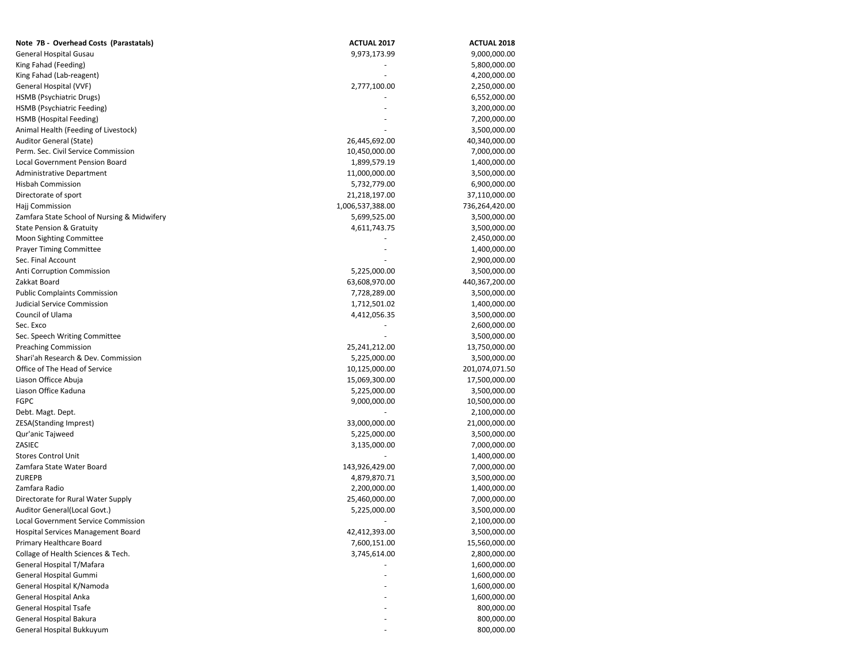| Note 7B - Overhead Costs (Parastatals)      | <b>ACTUAL 2017</b> | <b>ACTUAL 2018</b> |
|---------------------------------------------|--------------------|--------------------|
| <b>General Hospital Gusau</b>               | 9,973,173.99       | 9,000,000.00       |
| King Fahad (Feeding)                        |                    | 5,800,000.00       |
| King Fahad (Lab-reagent)                    |                    | 4,200,000.00       |
| General Hospital (VVF)                      | 2,777,100.00       | 2,250,000.00       |
| HSMB (Psychiatric Drugs)                    |                    | 6,552,000.00       |
| HSMB (Psychiatric Feeding)                  |                    | 3,200,000.00       |
| HSMB (Hospital Feeding)                     |                    | 7,200,000.00       |
| Animal Health (Feeding of Livestock)        |                    | 3,500,000.00       |
| Auditor General (State)                     | 26,445,692.00      | 40,340,000.00      |
| Perm. Sec. Civil Service Commission         | 10,450,000.00      | 7,000,000.00       |
| Local Government Pension Board              | 1,899,579.19       | 1,400,000.00       |
| <b>Administrative Department</b>            | 11,000,000.00      | 3,500,000.00       |
| <b>Hisbah Commission</b>                    | 5,732,779.00       | 6,900,000.00       |
| Directorate of sport                        | 21,218,197.00      | 37,110,000.00      |
| Hajj Commission                             | 1,006,537,388.00   | 736,264,420.00     |
| Zamfara State School of Nursing & Midwifery | 5,699,525.00       | 3,500,000.00       |
| <b>State Pension &amp; Gratuity</b>         | 4,611,743.75       | 3,500,000.00       |
| <b>Moon Sighting Committee</b>              |                    | 2,450,000.00       |
| <b>Prayer Timing Committee</b>              |                    | 1,400,000.00       |
| Sec. Final Account                          |                    | 2,900,000.00       |
| Anti Corruption Commission                  | 5,225,000.00       | 3,500,000.00       |
| Zakkat Board                                | 63,608,970.00      | 440,367,200.00     |
| <b>Public Complaints Commission</b>         | 7,728,289.00       | 3,500,000.00       |
| Judicial Service Commission                 | 1,712,501.02       | 1,400,000.00       |
| Council of Ulama                            |                    |                    |
| Sec. Exco                                   | 4,412,056.35       | 3,500,000.00       |
|                                             |                    | 2,600,000.00       |
| Sec. Speech Writing Committee               |                    | 3,500,000.00       |
| <b>Preaching Commission</b>                 | 25,241,212.00      | 13,750,000.00      |
| Shari'ah Research & Dev. Commission         | 5,225,000.00       | 3,500,000.00       |
| Office of The Head of Service               | 10,125,000.00      | 201,074,071.50     |
| Liason Officce Abuja                        | 15,069,300.00      | 17,500,000.00      |
| Liason Office Kaduna                        | 5,225,000.00       | 3,500,000.00       |
| <b>FGPC</b>                                 | 9,000,000.00       | 10,500,000.00      |
| Debt. Magt. Dept.                           |                    | 2,100,000.00       |
| ZESA(Standing Imprest)                      | 33,000,000.00      | 21,000,000.00      |
| Qur'anic Tajweed                            | 5,225,000.00       | 3,500,000.00       |
| ZASIEC                                      | 3,135,000.00       | 7,000,000.00       |
| <b>Stores Control Unit</b>                  |                    | 1,400,000.00       |
| Zamfara State Water Board                   | 143,926,429.00     | 7,000,000.00       |
| <b>ZUREPB</b>                               | 4,879,870.71       | 3,500,000.00       |
| Zamfara Radio                               | 2,200,000.00       | 1,400,000.00       |
| Directorate for Rural Water Supply          | 25,460,000.00      | 7,000,000.00       |
| Auditor General(Local Govt.)                | 5,225,000.00       | 3,500,000.00       |
| <b>Local Government Service Commission</b>  |                    | 2,100,000.00       |
| Hospital Services Management Board          | 42,412,393.00      | 3,500,000.00       |
| Primary Healthcare Board                    | 7,600,151.00       | 15,560,000.00      |
| Collage of Health Sciences & Tech.          | 3,745,614.00       | 2,800,000.00       |
| General Hospital T/Mafara                   |                    | 1,600,000.00       |
| General Hospital Gummi                      |                    | 1,600,000.00       |
| General Hospital K/Namoda                   |                    | 1,600,000.00       |
| General Hospital Anka                       |                    | 1,600,000.00       |
| General Hospital Tsafe                      |                    | 800,000.00         |
| General Hospital Bakura                     |                    | 800,000.00         |
| General Hospital Bukkuyum                   |                    | 800,000.00         |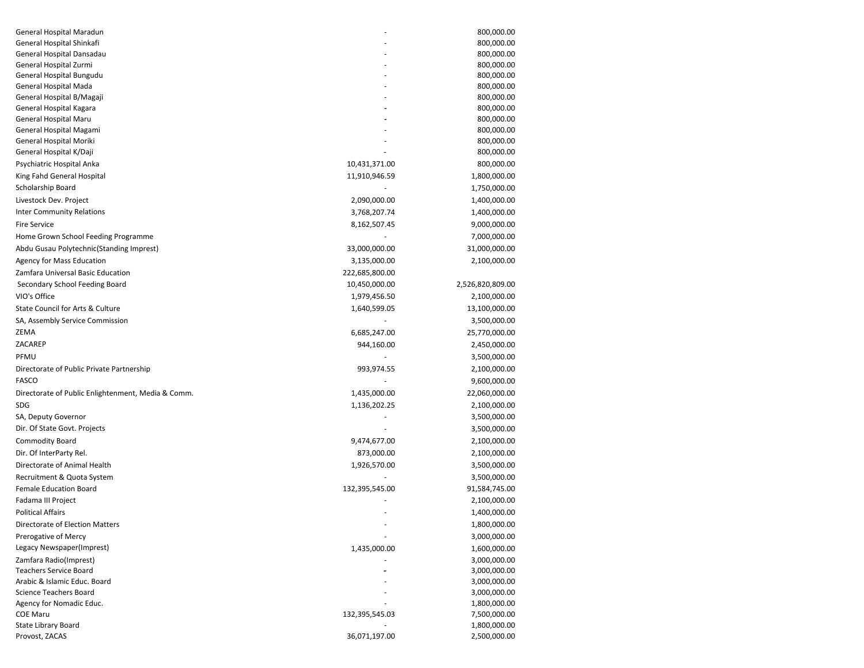| General Hospital Maradun                           |                | 800,000.00               |
|----------------------------------------------------|----------------|--------------------------|
| General Hospital Shinkafi                          |                | 800,000.00               |
| General Hospital Dansadau                          |                | 800,000.00               |
| General Hospital Zurmi                             |                | 800,000.00               |
| General Hospital Bungudu                           |                | 800,000.00               |
| General Hospital Mada                              |                | 800,000.00               |
| General Hospital B/Magaji                          |                | 800,000.00               |
| General Hospital Kagara<br>General Hospital Maru   |                | 800,000.00<br>800,000.00 |
| General Hospital Magami                            |                | 800,000.00               |
| General Hospital Moriki                            |                | 800,000.00               |
| General Hospital K/Daji                            |                | 800,000.00               |
| Psychiatric Hospital Anka                          | 10,431,371.00  | 800,000.00               |
| King Fahd General Hospital                         | 11,910,946.59  | 1,800,000.00             |
| Scholarship Board                                  |                | 1,750,000.00             |
| Livestock Dev. Project                             | 2,090,000.00   | 1,400,000.00             |
| <b>Inter Community Relations</b>                   | 3,768,207.74   | 1,400,000.00             |
| <b>Fire Service</b>                                | 8,162,507.45   | 9,000,000.00             |
| Home Grown School Feeding Programme                |                | 7,000,000.00             |
|                                                    |                | 31,000,000.00            |
| Abdu Gusau Polytechnic (Standing Imprest)          | 33,000,000.00  |                          |
| Agency for Mass Education                          | 3,135,000.00   | 2,100,000.00             |
| Zamfara Universal Basic Education                  | 222,685,800.00 |                          |
| Secondary School Feeding Board                     | 10,450,000.00  | 2,526,820,809.00         |
| VIO's Office                                       | 1,979,456.50   | 2,100,000.00             |
| State Council for Arts & Culture                   | 1,640,599.05   | 13,100,000.00            |
| SA, Assembly Service Commission                    |                | 3,500,000.00             |
| ZEMA                                               | 6,685,247.00   | 25,770,000.00            |
| ZACAREP                                            | 944,160.00     | 2,450,000.00             |
| PFMU                                               |                | 3,500,000.00             |
| Directorate of Public Private Partnership          | 993,974.55     | 2,100,000.00             |
| FASCO                                              |                | 9,600,000.00             |
| Directorate of Public Enlightenment, Media & Comm. | 1,435,000.00   | 22,060,000.00            |
| SDG                                                | 1,136,202.25   | 2,100,000.00             |
| SA, Deputy Governor                                |                | 3,500,000.00             |
| Dir. Of State Govt. Projects                       |                | 3,500,000.00             |
| <b>Commodity Board</b>                             | 9,474,677.00   | 2,100,000.00             |
| Dir. Of InterParty Rel.                            | 873,000.00     | 2,100,000.00             |
| Directorate of Animal Health                       | 1,926,570.00   | 3,500,000.00             |
| Recruitment & Quota System                         |                | 3,500,000.00             |
| <b>Female Education Board</b>                      | 132,395,545.00 | 91,584,745.00            |
| Fadama III Project                                 |                | 2,100,000.00             |
| <b>Political Affairs</b>                           |                | 1,400,000.00             |
| Directorate of Election Matters                    |                | 1,800,000.00             |
| Prerogative of Mercy                               |                | 3,000,000.00             |
| Legacy Newspaper(Imprest)                          | 1,435,000.00   | 1,600,000.00             |
| Zamfara Radio(Imprest)                             |                | 3,000,000.00             |
| <b>Teachers Service Board</b>                      |                | 3,000,000.00             |
| Arabic & Islamic Educ. Board                       |                | 3,000,000.00             |
| <b>Science Teachers Board</b>                      |                | 3,000,000.00             |
| Agency for Nomadic Educ.                           |                | 1,800,000.00             |
| <b>COE Maru</b>                                    | 132,395,545.03 | 7,500,000.00             |
| <b>State Library Board</b>                         |                | 1,800,000.00             |
| Provost, ZACAS                                     | 36,071,197.00  | 2,500,000.00             |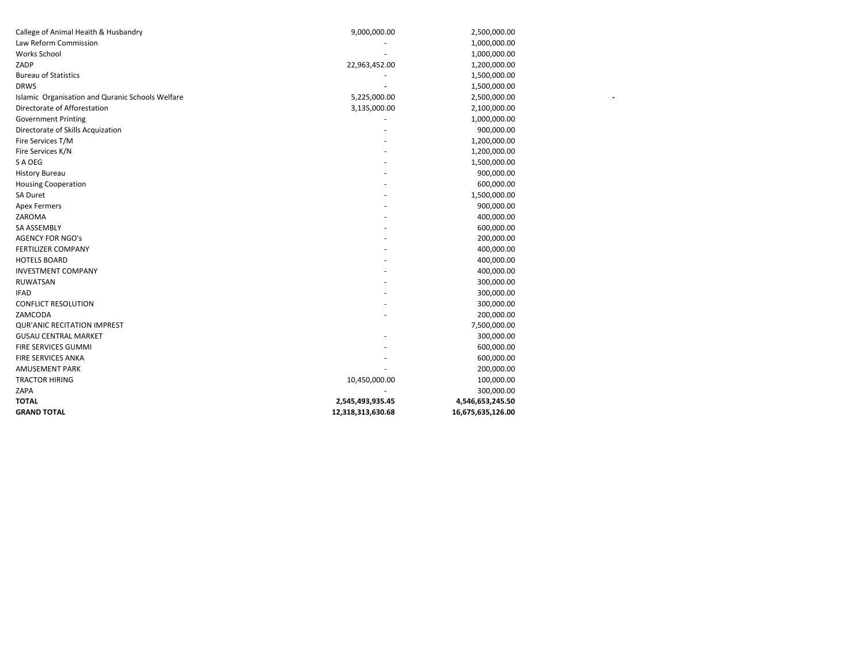| <b>TOTAL</b><br><b>GRAND TOTAL</b>               | 2,545,493,935.45<br>12,318,313,630.68 | 4,546,653,245.50<br>16,675,635,126.00 |
|--------------------------------------------------|---------------------------------------|---------------------------------------|
| ZAPA                                             |                                       | 300,000.00                            |
| <b>TRACTOR HIRING</b>                            | 10,450,000.00                         | 100,000.00                            |
| <b>AMUSEMENT PARK</b>                            |                                       | 200,000.00                            |
| FIRE SERVICES ANKA                               |                                       | 600,000.00                            |
| FIRE SERVICES GUMMI                              |                                       | 600,000.00                            |
| <b>GUSAU CENTRAL MARKET</b>                      |                                       | 300,000.00                            |
| <b>QUR'ANIC RECITATION IMPREST</b>               |                                       | 7,500,000.00                          |
| ZAMCODA                                          |                                       | 200,000.00                            |
| <b>CONFLICT RESOLUTION</b>                       |                                       | 300,000.00                            |
| <b>IFAD</b>                                      |                                       | 300,000.00                            |
| <b>RUWATSAN</b>                                  |                                       | 300,000.00                            |
| <b>INVESTMENT COMPANY</b>                        |                                       | 400,000.00                            |
| <b>HOTELS BOARD</b>                              |                                       | 400,000.00                            |
| <b>FERTILIZER COMPANY</b>                        |                                       | 400,000.00                            |
| <b>AGENCY FOR NGO's</b>                          |                                       | 200,000.00                            |
| SA ASSEMBLY                                      |                                       | 600,000.00                            |
| ZAROMA                                           |                                       | 400,000.00                            |
| <b>Apex Fermers</b>                              |                                       | 900,000.00                            |
| SA Duret                                         |                                       | 1,500,000.00                          |
| <b>Housing Cooperation</b>                       |                                       | 600,000.00                            |
| <b>History Bureau</b>                            |                                       | 900,000.00                            |
| S A OEG                                          |                                       | 1,500,000.00                          |
| Fire Services K/N                                |                                       | 1,200,000.00                          |
| Fire Services T/M                                |                                       | 1,200,000.00                          |
| Directorate of Skills Acquization                |                                       | 900,000.00                            |
| <b>Government Printing</b>                       |                                       | 1,000,000.00                          |
| Directorate of Afforestation                     | 3,135,000.00                          | 2,100,000.00                          |
| Islamic Organisation and Quranic Schools Welfare | 5,225,000.00                          | 2,500,000.00                          |
| <b>DRWS</b>                                      |                                       | 1,500,000.00                          |
| <b>Bureau of Statistics</b>                      |                                       | 1,500,000.00                          |
| ZADP                                             | 22,963,452.00                         | 1,200,000.00                          |
| <b>Works School</b>                              |                                       | 1,000,000.00                          |
| Law Reform Commission                            |                                       | 1,000,000.00                          |
| Callege of Animal Heaith & Husbandry             | 9,000,000.00                          | 2,500,000.00                          |
|                                                  |                                       |                                       |

**- - - - - - -**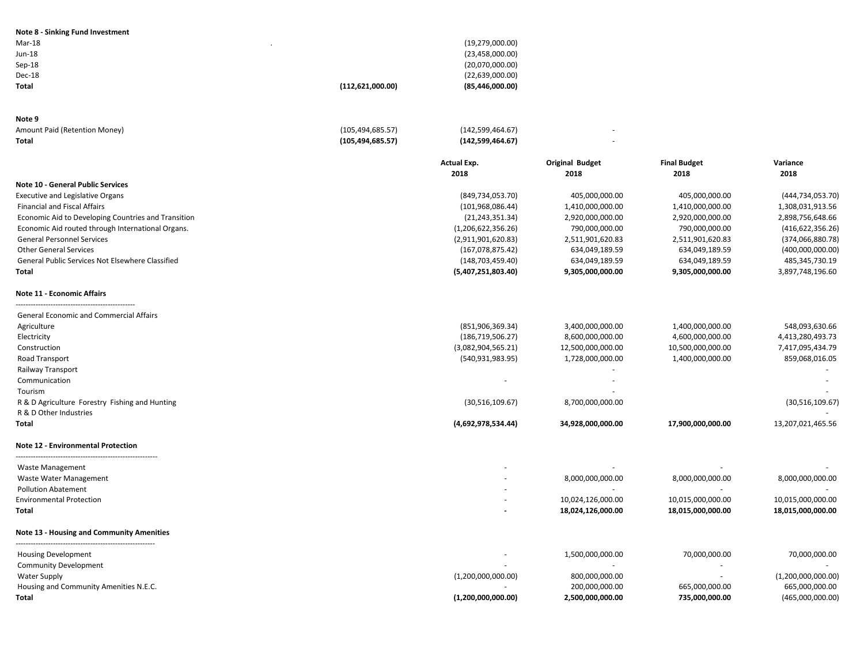| (19, 279, 000.00)                       |
|-----------------------------------------|
| (23,458,000.00)                         |
| (20,070,000.00)                         |
| (22,639,000.00)                         |
| (85, 446, 000.00)<br>(112, 621, 000.00) |
|                                         |
|                                         |

| Note 9                        |                    |                  |  |
|-------------------------------|--------------------|------------------|--|
| Amount Paid (Retention Money) | (105, 494, 685.57) | (142,599,464.67) |  |
| Total                         | (105, 494, 685.57) | (142,599,464.67) |  |

| (142, 599, 464.67) | ۰ |
|--------------------|---|
| (142,599,464.67)   | ۰ |

|                                                     | <b>Actual Exp.</b> | <b>Original Budget</b> | <b>Final Budget</b> | Variance           |
|-----------------------------------------------------|--------------------|------------------------|---------------------|--------------------|
|                                                     | 2018               | 2018                   | 2018                | 2018               |
| <b>Note 10 - General Public Services</b>            |                    |                        |                     |                    |
| <b>Executive and Legislative Organs</b>             | (849, 734, 053.70) | 405,000,000.00         | 405,000,000.00      | (444, 734, 053.70) |
| <b>Financial and Fiscal Affairs</b>                 | (101, 968, 086.44) | 1,410,000,000.00       | 1,410,000,000.00    | 1,308,031,913.56   |
| Economic Aid to Developing Countries and Transition | (21, 243, 351.34)  | 2,920,000,000.00       | 2,920,000,000.00    | 2,898,756,648.66   |
| Economic Aid routed through International Organs.   | (1,206,622,356.26) | 790,000,000.00         | 790,000,000.00      | (416, 622, 356.26) |
| <b>General Personnel Services</b>                   | (2,911,901,620.83) | 2,511,901,620.83       | 2,511,901,620.83    | (374,066,880.78)   |
| <b>Other General Services</b>                       | (167, 078, 875.42) | 634,049,189.59         | 634,049,189.59      | (400,000,000.00)   |
| General Public Services Not Elsewhere Classified    | (148, 703, 459.40) | 634,049,189.59         | 634,049,189.59      | 485,345,730.19     |
| Total                                               | (5,407,251,803.40) | 9,305,000,000.00       | 9,305,000,000.00    | 3,897,748,196.60   |
| <b>Note 11 - Economic Affairs</b>                   |                    |                        |                     |                    |
| <b>General Economic and Commercial Affairs</b>      |                    |                        |                     |                    |
| Agriculture                                         | (851,906,369.34)   | 3,400,000,000.00       | 1,400,000,000.00    | 548,093,630.66     |
| Electricity                                         | (186, 719, 506.27) | 8,600,000,000.00       | 4,600,000,000.00    | 4,413,280,493.73   |
| Construction                                        | (3,082,904,565.21) | 12,500,000,000.00      | 10,500,000,000.00   | 7,417,095,434.79   |
| Road Transport                                      | (540, 931, 983.95) | 1,728,000,000.00       | 1,400,000,000.00    | 859,068,016.05     |
| Railway Transport                                   |                    |                        |                     |                    |
| Communication                                       | ÷                  |                        |                     |                    |
| Tourism                                             |                    |                        |                     |                    |
| R & D Agriculture Forestry Fishing and Hunting      | (30,516,109.67)    | 8,700,000,000.00       |                     | (30,516,109.67)    |
| R & D Other Industries                              |                    |                        |                     |                    |
| Total                                               | (4,692,978,534.44) | 34,928,000,000.00      | 17,900,000,000.00   | 13,207,021,465.56  |
| <b>Note 12 - Environmental Protection</b>           |                    |                        |                     |                    |
| Waste Management                                    |                    |                        |                     |                    |
| Waste Water Management                              |                    | 8,000,000,000.00       | 8,000,000,000.00    | 8,000,000,000.00   |
| <b>Pollution Abatement</b>                          |                    |                        |                     |                    |
| <b>Environmental Protection</b>                     |                    | 10,024,126,000.00      | 10,015,000,000.00   | 10,015,000,000.00  |
| Total                                               |                    | 18,024,126,000.00      | 18,015,000,000.00   | 18,015,000,000.00  |
| <b>Note 13 - Housing and Community Amenities</b>    |                    |                        |                     |                    |
| <b>Housing Development</b>                          |                    | 1,500,000,000.00       | 70,000,000.00       | 70,000,000.00      |
| <b>Community Development</b>                        |                    |                        |                     |                    |
| <b>Water Supply</b>                                 | (1,200,000,000.00) | 800,000,000.00         |                     | (1,200,000,000.00) |
| Housing and Community Amenities N.E.C.              |                    | 200,000,000.00         | 665,000,000.00      | 665,000,000.00     |
| Total                                               | (1,200,000,000.00) | 2,500,000,000.00       | 735,000,000.00      | (465,000,000.00)   |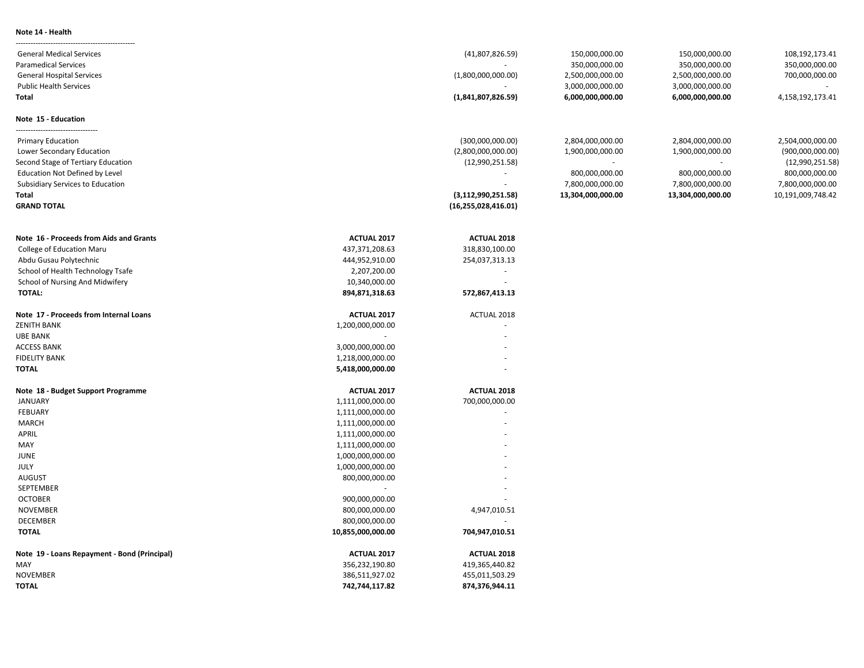### **Note 14 - Health**

| <b>General Medical Services</b>              |                    | (41,807,826.59)        | 150,000,000.00    | 150,000,000.00           | 108,192,173.41    |
|----------------------------------------------|--------------------|------------------------|-------------------|--------------------------|-------------------|
| <b>Paramedical Services</b>                  |                    |                        | 350,000,000.00    | 350,000,000.00           | 350,000,000.00    |
| <b>General Hospital Services</b>             |                    | (1,800,000,000.00)     | 2,500,000,000.00  | 2,500,000,000.00         | 700,000,000.00    |
| <b>Public Health Services</b>                |                    |                        | 3,000,000,000.00  | 3,000,000,000.00         |                   |
| Total                                        |                    | (1,841,807,826.59)     | 6,000,000,000.00  | 6,000,000,000.00         | 4,158,192,173.41  |
|                                              |                    |                        |                   |                          |                   |
| Note 15 - Education                          |                    |                        |                   |                          |                   |
| <b>Primary Education</b>                     |                    | (300,000,000.00)       | 2,804,000,000.00  | 2,804,000,000.00         | 2,504,000,000.00  |
| Lower Secondary Education                    |                    | (2,800,000,000.00)     | 1,900,000,000.00  | 1,900,000,000.00         | (900,000,000.00)  |
| Second Stage of Tertiary Education           |                    | (12,990,251.58)        |                   | $\overline{\phantom{a}}$ | (12,990,251.58)   |
| <b>Education Not Defined by Level</b>        |                    |                        | 800,000,000.00    | 800,000,000.00           | 800,000,000.00    |
| Subsidiary Services to Education             |                    |                        | 7,800,000,000.00  | 7,800,000,000.00         | 7,800,000,000.00  |
| <b>Total</b>                                 |                    | (3, 112, 990, 251.58)  | 13,304,000,000.00 | 13,304,000,000.00        | 10,191,009,748.42 |
| <b>GRAND TOTAL</b>                           |                    | (16, 255, 028, 416.01) |                   |                          |                   |
|                                              |                    |                        |                   |                          |                   |
| Note 16 - Proceeds from Aids and Grants      | ACTUAL 2017        | <b>ACTUAL 2018</b>     |                   |                          |                   |
| <b>College of Education Maru</b>             | 437,371,208.63     | 318,830,100.00         |                   |                          |                   |
| Abdu Gusau Polytechnic                       | 444,952,910.00     | 254,037,313.13         |                   |                          |                   |
| School of Health Technology Tsafe            | 2,207,200.00       | $\sim$                 |                   |                          |                   |
| School of Nursing And Midwifery              | 10,340,000.00      | $\sim$                 |                   |                          |                   |
| <b>TOTAL:</b>                                | 894,871,318.63     | 572,867,413.13         |                   |                          |                   |
| Note 17 - Proceeds from Internal Loans       | ACTUAL 2017        | ACTUAL 2018            |                   |                          |                   |
| <b>ZENITH BANK</b>                           | 1,200,000,000.00   |                        |                   |                          |                   |
| <b>UBE BANK</b>                              | $\sim$             |                        |                   |                          |                   |
| <b>ACCESS BANK</b>                           | 3,000,000,000.00   |                        |                   |                          |                   |
| <b>FIDELITY BANK</b>                         | 1,218,000,000.00   |                        |                   |                          |                   |
| <b>TOTAL</b>                                 | 5,418,000,000.00   |                        |                   |                          |                   |
| Note 18 - Budget Support Programme           | ACTUAL 2017        | <b>ACTUAL 2018</b>     |                   |                          |                   |
| <b>JANUARY</b>                               | 1,111,000,000.00   | 700,000,000.00         |                   |                          |                   |
| FEBUARY                                      | 1,111,000,000.00   |                        |                   |                          |                   |
| <b>MARCH</b>                                 | 1,111,000,000.00   |                        |                   |                          |                   |
| APRIL                                        | 1,111,000,000.00   |                        |                   |                          |                   |
| MAY                                          | 1,111,000,000.00   |                        |                   |                          |                   |
| JUNE                                         | 1,000,000,000.00   |                        |                   |                          |                   |
| JULY                                         | 1,000,000,000.00   |                        |                   |                          |                   |
| <b>AUGUST</b>                                | 800,000,000.00     |                        |                   |                          |                   |
| SEPTEMBER                                    |                    |                        |                   |                          |                   |
| <b>OCTOBER</b>                               | 900,000,000.00     |                        |                   |                          |                   |
| <b>NOVEMBER</b>                              | 800,000,000.00     | 4,947,010.51           |                   |                          |                   |
| <b>DECEMBER</b>                              | 800,000,000.00     |                        |                   |                          |                   |
| <b>TOTAL</b>                                 | 10,855,000,000.00  | 704,947,010.51         |                   |                          |                   |
| Note 19 - Loans Repayment - Bond (Principal) | <b>ACTUAL 2017</b> | <b>ACTUAL 2018</b>     |                   |                          |                   |
| MAY                                          | 356,232,190.80     | 419,365,440.82         |                   |                          |                   |
| <b>NOVEMBER</b>                              | 386,511,927.02     | 455,011,503.29         |                   |                          |                   |
| <b>TOTAL</b>                                 | 742,744,117.82     | 874,376,944.11         |                   |                          |                   |